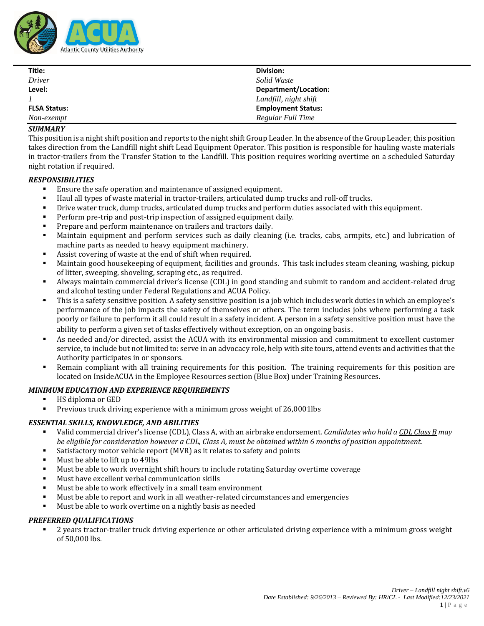

| Title:              | Division:                 |
|---------------------|---------------------------|
| Driver              | Solid Waste               |
| Level:              | Department/Location:      |
|                     | Landfill, night shift     |
| <b>FLSA Status:</b> | <b>Employment Status:</b> |
| Non-exempt          | Regular Full Time         |

## *SUMMARY*

This position is a night shift position and reports to the night shift Group Leader. In the absence of the Group Leader, this position takes direction from the Landfill night shift Lead Equipment Operator. This position is responsible for hauling waste materials in tractor-trailers from the Transfer Station to the Landfill. This position requires working overtime on a scheduled Saturday night rotation if required.

#### *RESPONSIBILITIES*

- Ensure the safe operation and maintenance of assigned equipment.
- Haul all types of waste material in tractor-trailers, articulated dump trucks and roll-off trucks.
- Drive water truck, dump trucks, articulated dump trucks and perform duties associated with this equipment.
- Perform pre-trip and post-trip inspection of assigned equipment daily.
- Prepare and perform maintenance on trailers and tractors daily.
- Maintain equipment and perform services such as daily cleaning (i.e. tracks, cabs, armpits, etc.) and lubrication of machine parts as needed to heavy equipment machinery.
- Assist covering of waste at the end of shift when required.
- Maintain good housekeeping of equipment, facilities and grounds. This task includes steam cleaning, washing, pickup of litter, sweeping, shoveling, scraping etc., as required.
- Always maintain commercial driver's license (CDL) in good standing and submit to random and accident-related drug and alcohol testing under Federal Regulations and ACUA Policy.
- This is a safety sensitive position. A safety sensitive position is a job which includes work duties in which an employee's performance of the job impacts the safety of themselves or others. The term includes jobs where performing a task poorly or failure to perform it all could result in a safety incident. A person in a safety sensitive position must have the ability to perform a given set of tasks effectively without exception, on an ongoing basis.
- As needed and/or directed, assist the ACUA with its environmental mission and commitment to excellent customer service, to include but not limited to: serve in an advocacy role, help with site tours, attend events and activities that the Authority participates in or sponsors.
- Remain compliant with all training requirements for this position. The training requirements for this position are located on InsideACUA in the Employee Resources section (Blue Box) under Training Resources.

# *MINIMUM EDUCATION AND EXPERIENCE REQUIREMENTS*

- HS diploma or GED
- Previous truck driving experience with a minimum gross weight of 26,0001lbs

#### *ESSENTIAL SKILLS, KNOWLEDGE, AND ABILITIES*

- Valid commercial driver's license (CDL), Class A, with an airbrake endorsement. *Candidates who hold a CDL Class B may be eligible for consideration however a CDL, Class A, must be obtained within 6 months of position appointment.*
- Satisfactory motor vehicle report (MVR) as it relates to safety and points
- Must be able to lift up to 49lbs
- Must be able to work overnight shift hours to include rotating Saturday overtime coverage
- Must have excellent verbal communication skills
- Must be able to work effectively in a small team environment
- Must be able to report and work in all weather-related circumstances and emergencies
- Must be able to work overtime on a nightly basis as needed

#### *PREFERRED QUALIFICATIONS*

2 years tractor-trailer truck driving experience or other articulated driving experience with a minimum gross weight of 50,000 lbs.